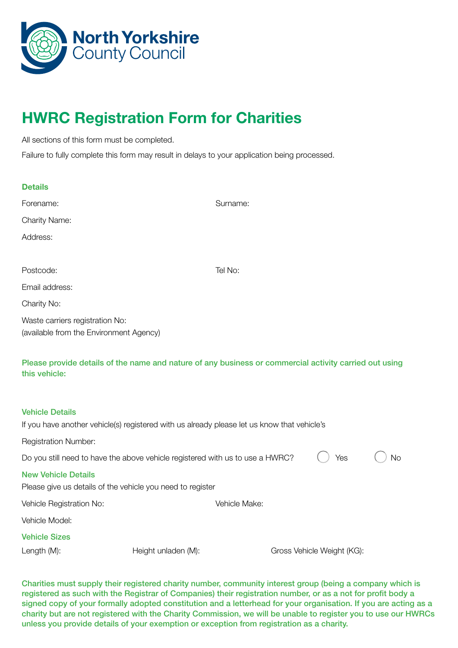

## HWRC Registration Form for Charities

All sections of this form must be completed.

Failure to fully complete this form may result in delays to your application being processed.

| <b>Details</b>                                                             |                                                                                                        |               |                            |    |
|----------------------------------------------------------------------------|--------------------------------------------------------------------------------------------------------|---------------|----------------------------|----|
| Forename:                                                                  |                                                                                                        | Surname:      |                            |    |
| <b>Charity Name:</b>                                                       |                                                                                                        |               |                            |    |
| Address:                                                                   |                                                                                                        |               |                            |    |
|                                                                            |                                                                                                        |               |                            |    |
| Postcode:                                                                  |                                                                                                        | Tel No:       |                            |    |
| Email address:                                                             |                                                                                                        |               |                            |    |
| Charity No:                                                                |                                                                                                        |               |                            |    |
| Waste carriers registration No:<br>(available from the Environment Agency) |                                                                                                        |               |                            |    |
| this vehicle:                                                              | Please provide details of the name and nature of any business or commercial activity carried out using |               |                            |    |
| <b>Vehicle Details</b>                                                     |                                                                                                        |               |                            |    |
|                                                                            | If you have another vehicle(s) registered with us already please let us know that vehicle's            |               |                            |    |
| <b>Registration Number:</b>                                                |                                                                                                        |               |                            |    |
|                                                                            | Do you still need to have the above vehicle registered with us to use a HWRC?                          |               | Yes                        | No |
| <b>New Vehicle Details</b>                                                 | Please give us details of the vehicle you need to register                                             |               |                            |    |
| Vehicle Registration No:                                                   |                                                                                                        | Vehicle Make: |                            |    |
| Vehicle Model:                                                             |                                                                                                        |               |                            |    |
| <b>Vehicle Sizes</b>                                                       |                                                                                                        |               |                            |    |
| Length (M):                                                                | Height unladen (M):                                                                                    |               | Gross Vehicle Weight (KG): |    |

Charities must supply their registered charity number, community interest group (being a company which is registered as such with the Registrar of Companies) their registration number, or as a not for profit body a signed copy of your formally adopted constitution and a letterhead for your organisation. If you are acting as a charity but are not registered with the Charity Commission, we will be unable to register you to use our HWRCs unless you provide details of your exemption or exception from registration as a charity.